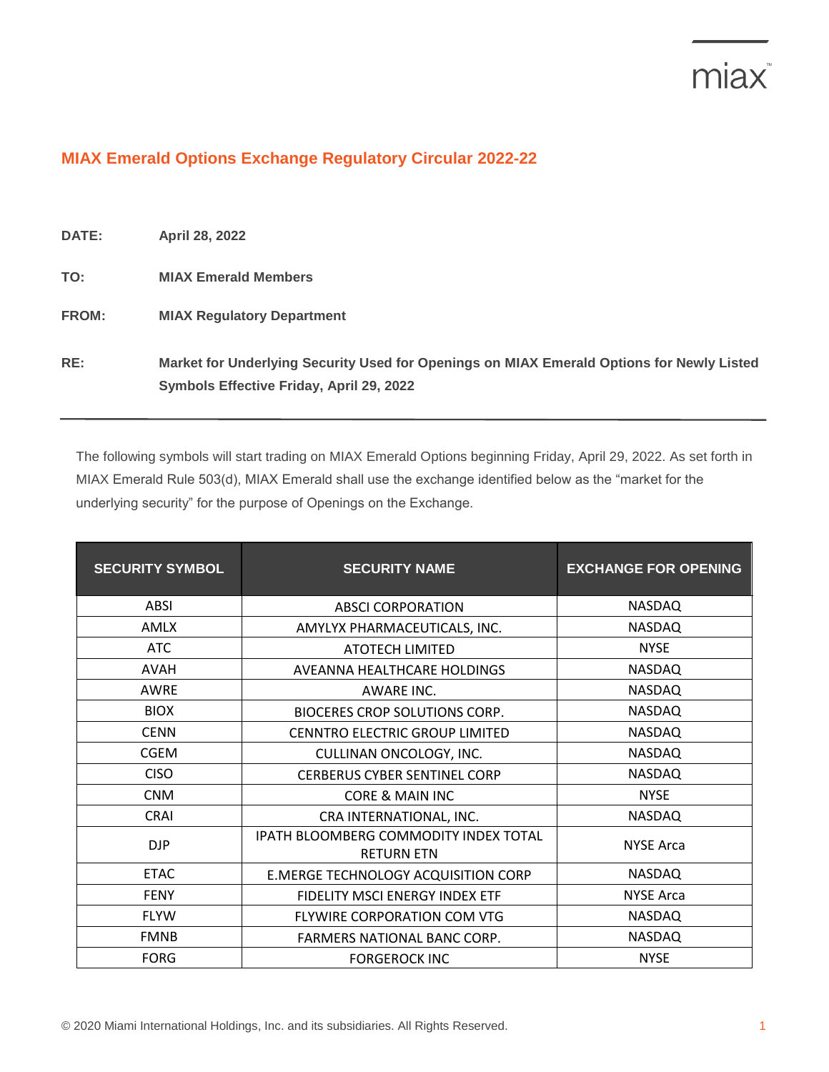## miax<sup>®</sup>

## **MIAX Emerald Options Exchange Regulatory Circular 2022-22**

| <b>DATE:</b> | <b>April 28, 2022</b>                                                                                                                 |
|--------------|---------------------------------------------------------------------------------------------------------------------------------------|
| TO:          | <b>MIAX Emerald Members</b>                                                                                                           |
| <b>FROM:</b> | <b>MIAX Regulatory Department</b>                                                                                                     |
| RE:          | Market for Underlying Security Used for Openings on MIAX Emerald Options for Newly Listed<br>Symbols Effective Friday, April 29, 2022 |

The following symbols will start trading on MIAX Emerald Options beginning Friday, April 29, 2022. As set forth in MIAX Emerald Rule 503(d), MIAX Emerald shall use the exchange identified below as the "market for the underlying security" for the purpose of Openings on the Exchange.

| <b>SECURITY SYMBOL</b> | <b>SECURITY NAME</b>                                       | <b>EXCHANGE FOR OPENING</b> |
|------------------------|------------------------------------------------------------|-----------------------------|
| <b>ABSI</b>            | <b>ABSCI CORPORATION</b>                                   | <b>NASDAQ</b>               |
| AMLX                   | AMYLYX PHARMACEUTICALS, INC.                               | <b>NASDAQ</b>               |
| <b>ATC</b>             | <b>ATOTECH LIMITED</b>                                     | <b>NYSE</b>                 |
| <b>AVAH</b>            | AVEANNA HEALTHCARE HOLDINGS                                | <b>NASDAQ</b>               |
| <b>AWRE</b>            | AWARE INC.                                                 | <b>NASDAQ</b>               |
| <b>BIOX</b>            | BIOCERES CROP SOLUTIONS CORP.                              | <b>NASDAQ</b>               |
| <b>CENN</b>            | CENNTRO ELECTRIC GROUP LIMITED                             | <b>NASDAQ</b>               |
| <b>CGEM</b>            | CULLINAN ONCOLOGY, INC.                                    | <b>NASDAQ</b>               |
| <b>CISO</b>            | <b>CERBERUS CYBER SENTINEL CORP</b>                        | <b>NASDAQ</b>               |
| <b>CNM</b>             | CORE & MAIN INC                                            | <b>NYSE</b>                 |
| <b>CRAI</b>            | CRA INTERNATIONAL, INC.                                    | <b>NASDAQ</b>               |
| <b>DJP</b>             | IPATH BLOOMBERG COMMODITY INDEX TOTAL<br><b>RETURN ETN</b> | <b>NYSE Arca</b>            |
| <b>ETAC</b>            | E.MERGE TECHNOLOGY ACQUISITION CORP                        | <b>NASDAQ</b>               |
| <b>FENY</b>            | FIDELITY MSCI ENERGY INDEX ETF                             | <b>NYSE Arca</b>            |
| <b>FLYW</b>            | FLYWIRE CORPORATION COM VTG                                | <b>NASDAQ</b>               |
| <b>FMNB</b>            | FARMERS NATIONAL BANC CORP.                                | <b>NASDAQ</b>               |
| <b>FORG</b>            | <b>FORGEROCK INC</b>                                       | <b>NYSE</b>                 |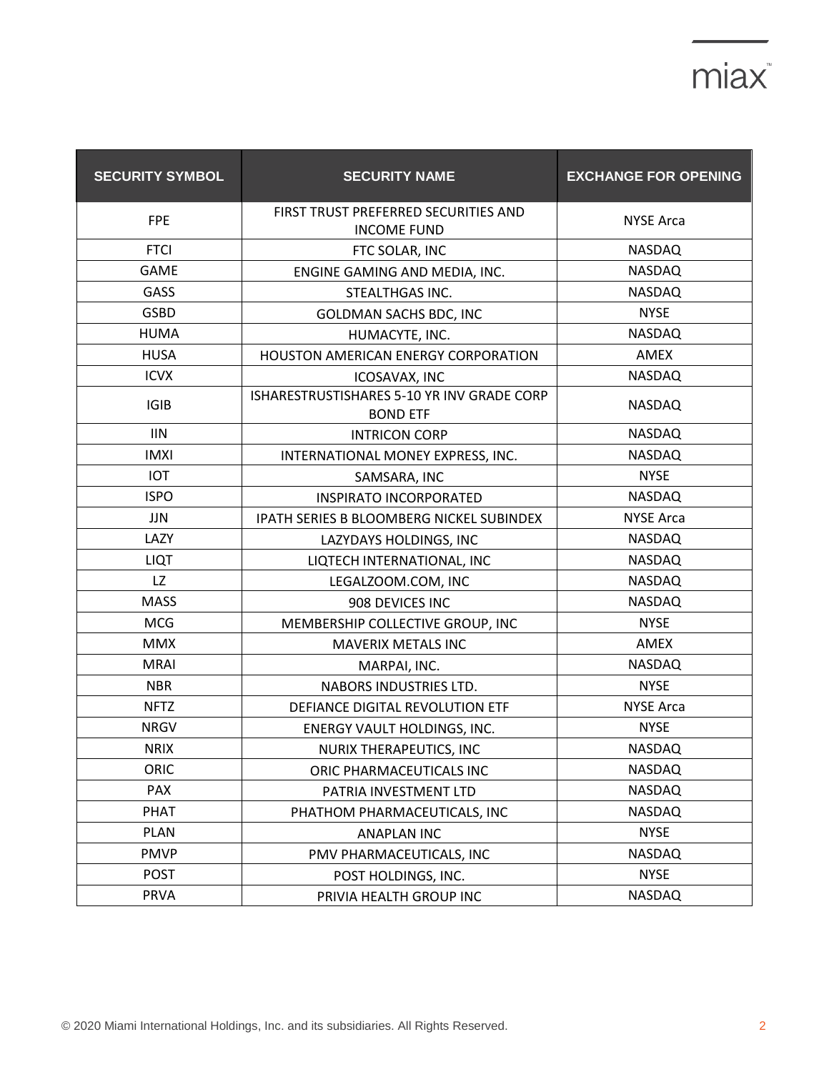## miax<sup>\*</sup>

| <b>SECURITY SYMBOL</b> | <b>SECURITY NAME</b>                                          | <b>EXCHANGE FOR OPENING</b> |
|------------------------|---------------------------------------------------------------|-----------------------------|
| <b>FPE</b>             | FIRST TRUST PREFERRED SECURITIES AND<br><b>INCOME FUND</b>    | <b>NYSE Arca</b>            |
| <b>FTCI</b>            | FTC SOLAR, INC                                                | <b>NASDAQ</b>               |
| <b>GAME</b>            | ENGINE GAMING AND MEDIA, INC.                                 | <b>NASDAQ</b>               |
| GASS                   | STEALTHGAS INC.                                               | <b>NASDAQ</b>               |
| <b>GSBD</b>            | <b>GOLDMAN SACHS BDC, INC</b>                                 | <b>NYSE</b>                 |
| <b>HUMA</b>            | HUMACYTE, INC.                                                | NASDAQ                      |
| <b>HUSA</b>            | HOUSTON AMERICAN ENERGY CORPORATION                           | AMEX                        |
| <b>ICVX</b>            | ICOSAVAX, INC                                                 | <b>NASDAQ</b>               |
| <b>IGIB</b>            | ISHARESTRUSTISHARES 5-10 YR INV GRADE CORP<br><b>BOND ETF</b> | <b>NASDAQ</b>               |
| <b>IIN</b>             | <b>INTRICON CORP</b>                                          | <b>NASDAQ</b>               |
| <b>IMXI</b>            | INTERNATIONAL MONEY EXPRESS, INC.                             | <b>NASDAQ</b>               |
| IOT                    | SAMSARA, INC                                                  | <b>NYSE</b>                 |
| <b>ISPO</b>            | <b>INSPIRATO INCORPORATED</b>                                 | <b>NASDAQ</b>               |
| JJN                    | IPATH SERIES B BLOOMBERG NICKEL SUBINDEX                      | <b>NYSE Arca</b>            |
| LAZY                   | LAZYDAYS HOLDINGS, INC                                        | <b>NASDAQ</b>               |
| <b>LIQT</b>            | LIQTECH INTERNATIONAL, INC                                    | <b>NASDAQ</b>               |
| LZ                     | LEGALZOOM.COM, INC                                            | <b>NASDAQ</b>               |
| <b>MASS</b>            | 908 DEVICES INC                                               | <b>NASDAQ</b>               |
| <b>MCG</b>             | MEMBERSHIP COLLECTIVE GROUP, INC                              | <b>NYSE</b>                 |
| <b>MMX</b>             | <b>MAVERIX METALS INC</b>                                     | AMEX                        |
| <b>MRAI</b>            | MARPAI, INC.                                                  | <b>NASDAQ</b>               |
| <b>NBR</b>             | NABORS INDUSTRIES LTD.                                        | <b>NYSE</b>                 |
| <b>NFTZ</b>            | DEFIANCE DIGITAL REVOLUTION ETF                               | <b>NYSE Arca</b>            |
| <b>NRGV</b>            | ENERGY VAULT HOLDINGS, INC.                                   | <b>NYSE</b>                 |
| <b>NRIX</b>            | <b>NURIX THERAPEUTICS, INC</b>                                | <b>NASDAQ</b>               |
| ORIC                   | ORIC PHARMACEUTICALS INC                                      | <b>NASDAQ</b>               |
| PAX                    | PATRIA INVESTMENT LTD                                         | <b>NASDAQ</b>               |
| <b>PHAT</b>            | PHATHOM PHARMACEUTICALS, INC                                  | <b>NASDAQ</b>               |
| <b>PLAN</b>            | <b>ANAPLAN INC</b>                                            | <b>NYSE</b>                 |
| <b>PMVP</b>            | PMV PHARMACEUTICALS, INC                                      | <b>NASDAQ</b>               |
| <b>POST</b>            | POST HOLDINGS, INC.                                           | <b>NYSE</b>                 |
| <b>PRVA</b>            | PRIVIA HEALTH GROUP INC                                       | <b>NASDAQ</b>               |